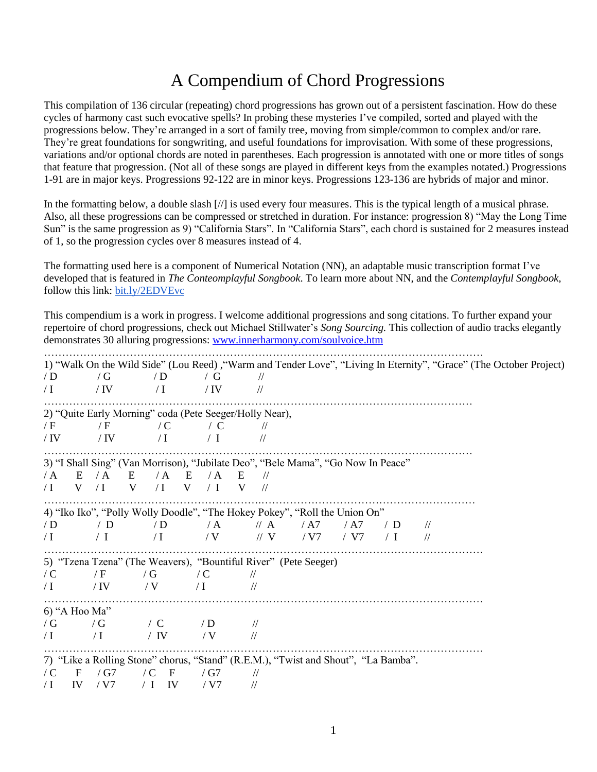## A Compendium of Chord Progressions

This compilation of 136 circular (repeating) chord progressions has grown out of a persistent fascination. How do these cycles of harmony cast such evocative spells? In probing these mysteries I've compiled, sorted and played with the progressions below. They're arranged in a sort of family tree, moving from simple/common to complex and/or rare. They're great foundations for songwriting, and useful foundations for improvisation. With some of these progressions, variations and/or optional chords are noted in parentheses. Each progression is annotated with one or more titles of songs that feature that progression. (Not all of these songs are played in different keys from the examples notated.) Progressions 1-91 are in major keys. Progressions 92-122 are in minor keys. Progressions 123-136 are hybrids of major and minor.

In the formatting below, a double slash [//] is used every four measures. This is the typical length of a musical phrase. Also, all these progressions can be compressed or stretched in duration. For instance: progression 8) "May the Long Time Sun" is the same progression as 9) "California Stars". In "California Stars", each chord is sustained for 2 measures instead of 1, so the progression cycles over 8 measures instead of 4.

The formatting used here is a component of Numerical Notation (NN), an adaptable music transcription format I've developed that is featured in *The Conteomplayful Songbook*. To learn more about NN, and the *Contemplayful Songbook*, follow this link: **bit.ly/2EDVEvc** 

This compendium is a work in progress. I welcome additional progressions and song citations. To further expand your repertoire of chord progressions, check out Michael Stillwater's *Song Sourcing.* This collection of audio tracks elegantly demonstrates 30 alluring progressions: [www.innerharmony.com/soulvoice.htm](http://www.innerharmony.com/soulvoice.htm)

|            |                     |                                                                                    |               |                    |      |      |            |               | 1) "Walk On the Wild Side" (Lou Reed), "Warm and Tender Love", "Living In Eternity", "Grace" (The October Project) |  |
|------------|---------------------|------------------------------------------------------------------------------------|---------------|--------------------|------|------|------------|---------------|--------------------------------------------------------------------------------------------------------------------|--|
| /D         | / $G$               | /D                                                                                 | / $\mathbf G$ | $\frac{1}{2}$      |      |      |            |               |                                                                                                                    |  |
| $\sqrt{}$  | / IV                | $\sqrt{}$                                                                          | / IV          | $\frac{1}{2}$      |      |      |            |               |                                                                                                                    |  |
|            |                     | 2) "Quite Early Morning" coda (Pete Seeger/Holly Near),                            |               |                    |      |      |            |               |                                                                                                                    |  |
| / $F$      | / F                 | $\angle C$                                                                         | $\angle$ C    | $\frac{1}{2}$      |      |      |            |               |                                                                                                                    |  |
| $/$ IV     | / IV                | $\sqrt{1}$                                                                         | $\angle$ I    | $\frac{1}{2}$      |      |      |            |               |                                                                                                                    |  |
|            |                     | 3) "I Shall Sing" (Van Morrison), "Jubilate Deo", "Bele Mama", "Go Now In Peace"   |               |                    |      |      |            |               |                                                                                                                    |  |
| $\angle A$ | $\angle A$<br>E     | $\angle A$<br>E                                                                    | / A<br>E      | E<br>$\frac{1}{2}$ |      |      |            |               |                                                                                                                    |  |
| $\sqrt{}$  | $\sqrt{I}$<br>V     | V<br>$\sqrt{I}$                                                                    | V<br>$\perp$  | V<br>$\frac{1}{2}$ |      |      |            |               |                                                                                                                    |  |
|            |                     |                                                                                    |               |                    |      |      |            |               |                                                                                                                    |  |
|            |                     | 4) "Iko Iko", "Polly Wolly Doodle", "The Hokey Pokey", "Roll the Union On"         |               |                    |      |      |            |               |                                                                                                                    |  |
| /D         | / $\mathbf{D}$      | /D                                                                                 | $\angle A$    | $\mathcal{U}$ A    | / A7 | / A7 | /D         | $\frac{1}{2}$ |                                                                                                                    |  |
| $\sqrt{}$  | $\perp$ I           | $\sqrt{}$                                                                          | / V           | $\parallel$ V      | / V7 | / V7 | $\angle$ I | $\frac{1}{2}$ |                                                                                                                    |  |
|            |                     | 5) "Tzena Tzena" (The Weavers), "Bountiful River" (Pete Seeger)                    |               |                    |      |      |            |               |                                                                                                                    |  |
| $\angle C$ | / F                 | / $G$                                                                              | $\angle C$    | $\frac{1}{2}$      |      |      |            |               |                                                                                                                    |  |
| $\sqrt{}$  | / IV                | / V                                                                                | $\sqrt{I}$    | $\frac{1}{2}$      |      |      |            |               |                                                                                                                    |  |
|            |                     |                                                                                    |               |                    |      |      |            |               |                                                                                                                    |  |
|            | 6) "A Hoo Ma"       |                                                                                    |               |                    |      |      |            |               |                                                                                                                    |  |
| /G         | / $G$               | $\sqrt{C}$ /D                                                                      |               | $\frac{1}{2}$      |      |      |            |               |                                                                                                                    |  |
| $\sqrt{1}$ | $\sqrt{I}$          | / IV                                                                               | / V           | $\frac{1}{2}$      |      |      |            |               |                                                                                                                    |  |
|            |                     | 7) "Like a Rolling Stone" chorus, "Stand" (R.E.M.), "Twist and Shout", "La Bamba". |               |                    |      |      |            |               |                                                                                                                    |  |
| $\angle C$ | $\mathbf F$<br>/ G7 | $\sqrt{C}$<br>$\mathbf{F}$                                                         | / G7          | $\frac{1}{2}$      |      |      |            |               |                                                                                                                    |  |
| $\sqrt{}$  | IV<br>/ V7          | IV<br>$\perp$                                                                      | / V7          | $\frac{1}{2}$      |      |      |            |               |                                                                                                                    |  |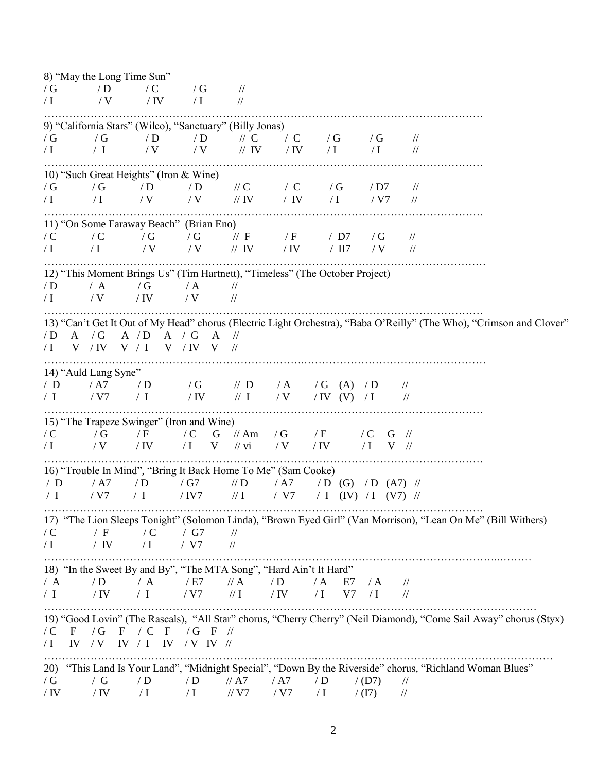8) "May the Long Time Sun"  $/G$  / D / C / G //  $\sqrt{I}$  /  $\sqrt{V}$  /  $\sqrt{IV}$  /  $\sqrt{I}$  // …………………………………………………………………………………………………………… 9) "California Stars" (Wilco), "Sanctuary" (Billy Jonas) / G / G / D / D // C / C / G / G //  $\sqrt{I}$  / I / V / V // IV / IV / I / I // …………………………………………………………………………………………………………… 10) "Such Great Heights" (Iron & Wine) / G / G / D / D / / C / G / D7 // / I / I / V / V / IV / IV / I / V7 // …………………………………………………………………………………………………………… 11) "On Some Faraway Beach" (Brian Eno) / C / C / G / G / / F / F / D7 / G // / I / I / V / V // IV / IV / II7 / V // ………………………………………………………………………………………….………………… 12) "This Moment Brings Us" (Tim Hartnett), "Timeless" (The October Project)  $/D$  / A / G / A //  $\sqrt{I}$  / V / IV / V // …………………………………………………………………………………………………………… 13) "Can't Get It Out of My Head" chorus (Electric Light Orchestra), "Baba O'Reilly" (The Who), "Crimson and Clover" / D A / G A / D A / G A // / I V / IV V / I V / IV V // ……………………………………………………………….…………………………………………… 14) "Auld Lang Syne" / D / A7 / D / G // D / A / G (A) / D // / I / V7 / I / IV // I / V / IV (V) / I // …………………………………………………………………………………………………………… 15) "The Trapeze Swinger" (Iron and Wine)  $\sqrt{C}$  / G  $\sqrt{F}$  / C G  $\sqrt{A}$  / G  $\sqrt{F}$  / C G  $\sqrt{F}$  $\sqrt{I}$  / V / IV / I V // vi / V / IV / I V // …………………………………………………………………………………………………………… 16) "Trouble In Mind", "Bring It Back Home To Me" (Sam Cooke) / D / A7 / D / G7 // D / A7 / D (G) / D (A7) //  $/ I$  / V7  $/ I$  / IV7 // I / V7 / I (IV) / I (V7) // …………………………………………………………………………………………………………… 17) "The Lion Sleeps Tonight" (Solomon Linda), "Brown Eyed Girl" (Van Morrison), "Lean On Me" (Bill Withers)  $/ C$  / F  $/ C$  / G7 // / I  $\sqrt{}$  / IV / I / V7 // ………………………………………………………………………………………………………………..……… 18) "In the Sweet By and By", "The MTA Song", "Hard Ain't It Hard" / A / D / A / E7 // A / D / A E7 / A // / I / IV / I / V7 // I / IV / I V7 / I // ………………………………………………………………………………………………………………………… 19) "Good Lovin" (The Rascals), "All Star" chorus, "Cherry Cherry" (Neil Diamond), "Come Sail Away" chorus (Styx) / C F / G F / C F / G F // / I  $\quad$  IV / V IV / I IV / V IV // …………………………………………………………………..………………………………………………………… 20) "This Land Is Your Land", "Midnight Special", "Down By the Riverside" chorus, "Richland Woman Blues" / G / G / D / D // A7 / A7 / D / (D7) // / IV / I / I / / I / / / / V7 / I / (I7) //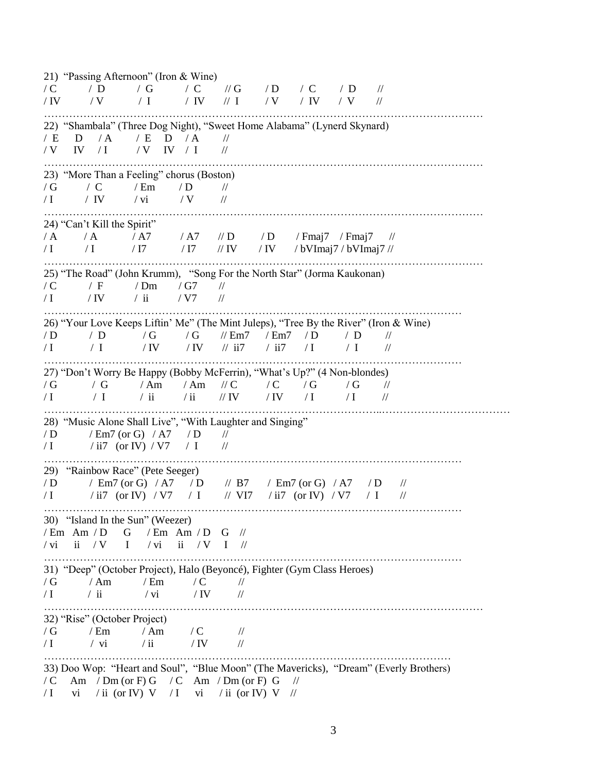21) "Passing Afternoon" (Iron & Wine)  $\sqrt{C}$  / D / G / C // G / D / C / D // / IV / V / I / IV // I / V / IV / V // …………………………………………………………………………………………………………… 22) "Shambala" (Three Dog Night), "Sweet Home Alabama" (Lynerd Skynard) / E D / A / E D / A //  $/V$  IV  $/I$   $/V$  IV  $/I$   $N$ …………………………………………………………………………………………………………… 23) "More Than a Feeling" chorus (Boston)  $/G$  / C / Em / D //  $\sqrt{I}$  / IV / vi / V // …………………………………………………………………………………………………………… 24) "Can't Kill the Spirit" / A / A / A7 / A7 // D / D / Fmaj7 / Fmaj7 //  $/$  I  $/$  I  $/$  I7  $/$  I7  $/$  IV  $/$  IV  $/$  bVImaj7 / bVImaj7 // …………………………………………………………………………………………………………… 25) "The Road" (John Krumm), "Song For the North Star" (Jorma Kaukonan)  $/C$  / F / Dm / G7 //  $\sqrt{I}$  / IV / ii / V7 // ……………………………………………………………………………………………………… 26) "Your Love Keeps Liftin' Me" (The Mint Juleps), "Tree By the River" (Iron & Wine) / D / D / G / G // Em7 / Em7 / D / D //  $\sqrt{I}$  / I / IV / IV // ii7 / ii7 / I / I // ……………………………………………………………………………………………………… 27) "Don't Worry Be Happy (Bobby McFerrin), "What's Up?" (4 Non-blondes) / G / G / Am / Am / / C / G / G / / / I / I / ii / ii // IV / IV / I / I // …………………………………………………………………………………..……………………………… 28) "Music Alone Shall Live", "With Laughter and Singing"<br> $\sqrt{P}$  / Em 7 (or G) / A 7 / D //  $/D$  / Em7 (or G) / A7 / D  $/ I$  / ii7 (or IV) / V7 / I // ……………………………………………………………………………………………………… 29) "Rainbow Race" (Pete Seeger) / D / Em7 (or G) / A7 / D // B7 / Em7 (or G) / A7 / D //  $\sqrt{I}$  / ii7 (or IV)  $\sqrt{V7}$  / I // VI7 / ii7 (or IV)  $\sqrt{V7}$  / I // ……………………………………………………………………………………………………… 30) "Island In the Sun" (Weezer)  $/$  Em Am  $/$  D G  $/$  Em Am  $/$  D G  $//$ / vi  $\quad$  ii / V I / Vi ii / V I // ……………………………………………………………………………………………………… 31) "Deep" (October Project), Halo (Beyoncé), Fighter (Gym Class Heroes)  $/G$  / Am / Em / C //  $\sqrt{I}$  / ii / vi / IV // …………………………………………………………………………………………………………… 32) "Rise" (October Project)  $\frac{1}{\sqrt{G}}$  / Em / Am / C //<br> $\frac{1}{\sqrt{I}}$  / vi / ii / IV //  $\sqrt{I}$  / vi / ii / IV // …………………………………………………………………………………………………… 33) Doo Wop: "Heart and Soul", "Blue Moon" (The Mavericks), "Dream" (Everly Brothers)  $/C$  Am / Dm (or F) G / C Am / Dm (or F) G // / I vi / ii (or IV) V / I vi / ii (or IV) V //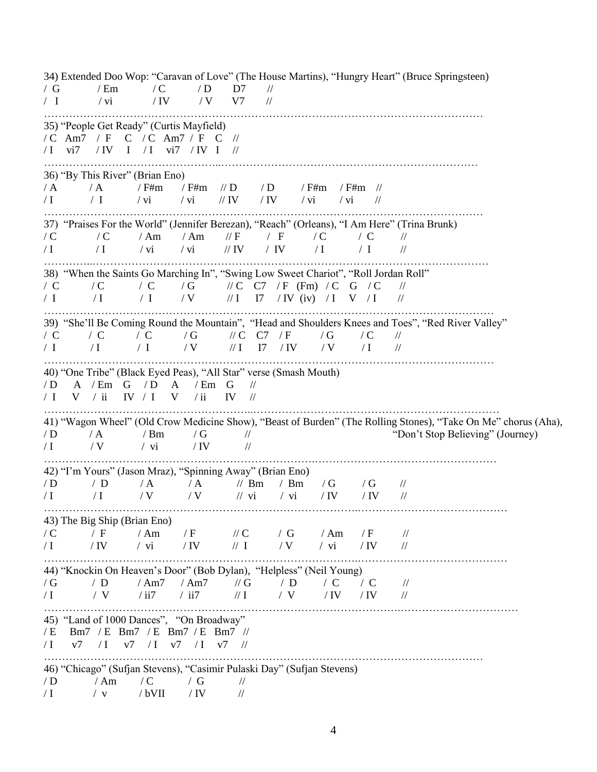34) Extended Doo Wop: "Caravan of Love" (The House Martins), "Hungry Heart" (Bruce Springsteen) / G / Em / C / D D7 // / I / vi / IV / V V7 // …………………………………………………………………………………………………………… 35) "People Get Ready" (Curtis Mayfield) / C Am7 / F C / C Am7 / F C // / I vi7 / IV I / I vi7 / IV I // …………………………………………..……………………………………………………………… 36) "By This River" (Brian Eno) / A / A / F#m / F#m // D / D / F#m / F#m //  $\sqrt{I}$  / I / vi / vi // IV / IV / vi // // …………………………………………………………………………………………………………… 37) "Praises For the World" (Jennifer Berezan), "Reach" (Orleans), "I Am Here" (Trina Brunk)  $\sqrt{C}$  / C / Am / Am // F / F / C / C //  $\sqrt{I}$  / I / vi / vi // IV / I / I // / …………..………………………………………………………………………………………………… 38) "When the Saints Go Marching In", "Swing Low Sweet Chariot", "Roll Jordan Roll"  $\begin{array}{ccccc} \mathcal{N} & \mathbf{C} & \mathcal{N} & \mathbf{C} & \mathcal{N} \\ \mathcal{N} & \mathbf{C} & \mathcal{N} & \mathbf{C} & \mathcal{N} \\ \mathcal{N} & \mathcal{N} & \mathcal{N} & \mathcal{N} & \mathcal{N} & \mathcal{N} \\ \mathcal{N} & \mathcal{N} & \mathcal{N} & \mathcal{N} & \mathcal{N} & \mathcal{N} \end{array}$ / I / I / V / I  $\sqrt{I}$  / I  $\sqrt{I}$  / I  $\sqrt{I}$  / I // I // ……………………………………………………………………………………………………………… 39) "She'll Be Coming Round the Mountain", "Head and Shoulders Knees and Toes", "Red River Valley" / C / C / C / G / / C C7 / F / G / C //  $/$  I  $/$  I  $/$  I  $/$  V  $/$  II I7  $/$  IV  $/$  V  $/$  I  $/$ ……………………………………………………………………………………………………………… 40) "One Tribe" (Black Eyed Peas), "All Star" verse (Smash Mouth) / D A / Em G / D A / Em G // / I V / ii IV / I V / ii IV // …………………………………………………..…………………………………………………………… 41) "Wagon Wheel" (Old Crow Medicine Show), "Beast of Burden" (The Rolling Stones), "Take On Me" chorus (Aha),  $/D$  / A / Bm / G //  $\blacksquare$  /  $\blacksquare$  /  $\blacksquare$   $\blacksquare$   $\blacksquare$   $\blacksquare$   $\blacksquare$   $\blacksquare$   $\blacksquare$   $\blacksquare$   $\blacksquare$   $\blacksquare$   $\blacksquare$   $\blacksquare$   $\blacksquare$   $\blacksquare$   $\blacksquare$   $\blacksquare$   $\blacksquare$   $\blacksquare$   $\blacksquare$   $\blacksquare$   $\blacksquare$   $\blacksquare$   $\blacksquare$   $\blacksquare$   $\blacksquare$   $\blacksquare$   $\sqrt{I}$  / V / vi / IV // ………………………………………………………………….…………………………………………… 42) "I'm Yours" (Jason Mraz), "Spinning Away" (Brian Eno) / D / D / A / A // Bm / Bm / G / G //  $\sqrt{I}$  / I / V / V / Vi / Vi / IV / IV // …………………………………………………………………………….…………………………………… 43) The Big Ship (Brian Eno)  $\angle$  / F / Am / F // C / G / Am / F //  $\sqrt{I}$  / IV / vi / IV // I / V / vi / IV // …………………………………………………………………………….…………………………………… 44) "Knockin On Heaven's Door" (Bob Dylan), "Helpless" (Neil Young) / G / D / Am7 / Am7 // G / D / C / C // / I / V / ii7 / ii7 // I / V / IV / IV // ……………………………………………………………………………………….…………………………… 45) "Land of 1000 Dances", "On Broadway" / E Bm7 / E Bm7 / E Bm7 / E Bm7 //  $/ I$  v7  $/ I$  v7  $/ I$  v7  $/ I$  v7  $/ / I$ …………………………………………………………………………………………………………… 46) "Chicago" (Sufjan Stevens), "Casimir Pulaski Day" (Sufjan Stevens) / D / Am / C / G //  $\sqrt{I}$  / v / bVII / IV //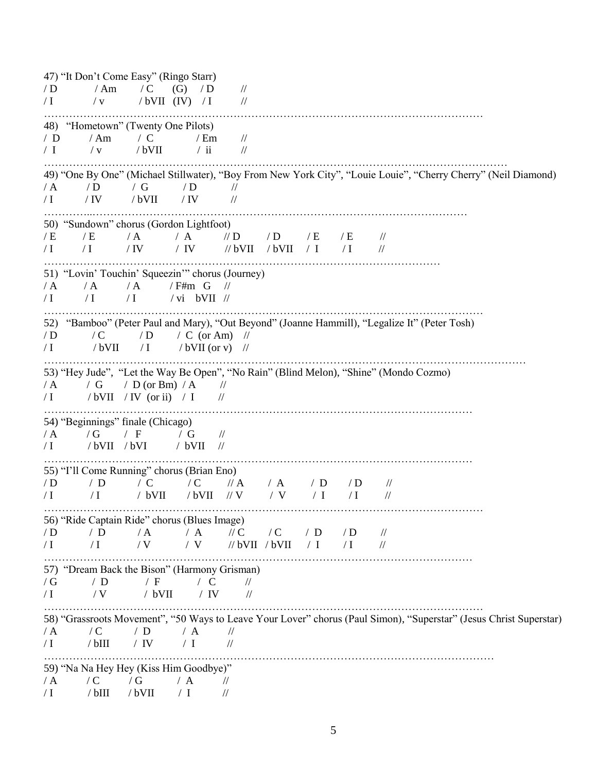47) "It Don't Come Easy" (Ringo Starr)  $/D$  / Am / C (G) / D //  $\sqrt{I}$  / v / bVII (IV)  $\sqrt{I}$  // …………………………………………………………………………………………………………… 48) "Hometown" (Twenty One Pilots) / D / Am / C / Em//  $/ I$  / v / bVII / ii // …………………………………………………………………………………………….…………………… 49) "One By One" (Michael Stillwater), "Boy From New York City", "Louie Louie", "Cherry Cherry" (Neil Diamond)  $/A$  / D / G / D //  $\sqrt{I}$  / IV / bVII / IV // …………..…………………………………………………………………………………………… 50) "Sundown" chorus (Gordon Lightfoot) / E / E / A / A // D / D / E / E //  $/$  I  $/$  I  $/$  IV  $/$  IV  $/$  bVII  $/$  bVII  $/$  I  $/$  I  $/$  I ………………………………………………………………………………………………… 51) "Lovin' Touchin' Squeezin'" chorus (Journey)  $/A$  / A  $/A$  / F#m G //  $\sqrt{I}$   $\sqrt{I}$   $\sqrt{V}$   $\sqrt{V}$   $\sqrt{V}$   $\sqrt{V}$   $\sqrt{V}$ …………………………………………………………………………………………………………… 52) "Bamboo" (Peter Paul and Mary), "Out Beyond" (Joanne Hammill), "Legalize It" (Peter Tosh)  $/D$  / C / D / C (or Am) //  $\sqrt{I}$  / bVII / I / bVII (or v) // ……………………………………………………………………………………………………………………… 53) "Hey Jude", "Let the Way Be Open", "No Rain" (Blind Melon), "Shine" (Mondo Cozmo)  $/A$  / G / D (or Bm)  $/A$  //  $/ I$  /bVII /IV (or ii) / I // ………………………………………………………………………………………………………… 54) "Beginnings" finale (Chicago) / A / G / F / G //  $\sqrt{I}$  /bVII /bVI / bVII // ………………………………………………………………………………………………………… 55) "I'll Come Running" chorus (Brian Eno) / D / D / C / C // A / A / D / D //  $\sqrt{I}$  / I / bVII /bVII // V / V / I / I // …………………………………………………………………………………………………………… 56) "Ride Captain Ride" chorus (Blues Image) / D / D / A / A // C / C / D / D //  $\sqrt{I}$  / I / V / V // bVII / bVII / I / I // ………………………………………………………………………………………………………… 57) "Dream Back the Bison" (Harmony Grisman)  $/G$  / D / F / C //  $\sqrt{I}$  /  $\sqrt{V}$  /  $\sqrt{V}$  /  $\sqrt{V}$  // …………………………………………………………………………………………………………… 58) "Grassroots Movement", "50 Ways to Leave Your Lover" chorus (Paul Simon), "Superstar" (Jesus Christ Superstar)  $/A$  / C / D / A // / I / bIII/ IV / I // ……………………………………………………………………………………………………………… 59) "Na Na Hey Hey (Kiss Him Goodbye)"  $/A$  / C / G / A // / I / bIII/ bVII / I //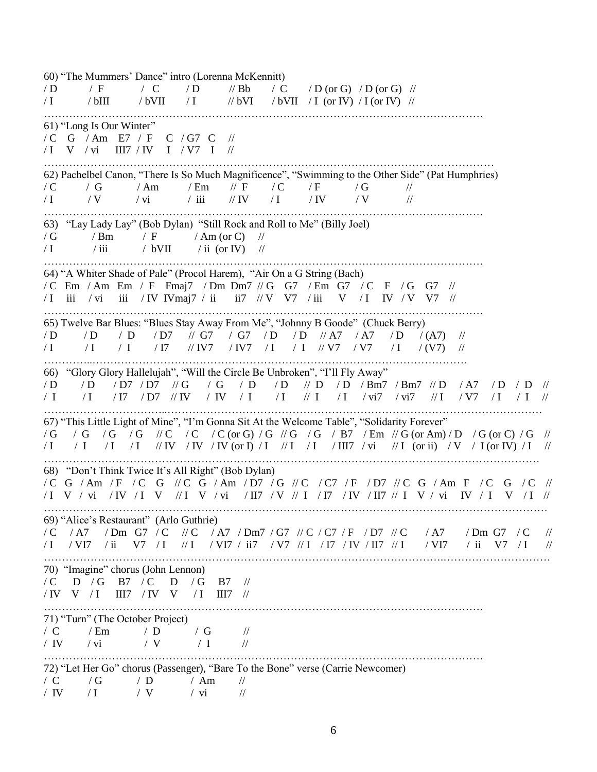60) "The Mummers' Dance" intro (Lorenna McKennitt)  $\sqrt{D}$  / F / C / D // Bb / C / D (or G) / D (or G) //  $/$  I  $/$  bIII  $/$  bVII  $/$  I  $/$  bVII  $/$  bVII  $/$  I (or IV)  $/$  I (or IV)  $/$ …………………………………………………………………………………………………………… 61) "Long Is Our Winter" / C G / Am E7 / F C / G7 C // / I V / vi III7 / IV I / V7 I // ……………………………………………………………………………………………………………… 62) Pachelbel Canon, "There Is So Much Magnificence", "Swimming to the Other Side" (Pat Humphries)  $\begin{array}{ccccc} /{\,C} & /{\,G} & /{\,An} & /{\,Em} & /{\,F} & /{\,C} & /{\,F} & /{\,G} & /{\,H} \\ /{\,I} & /{\,V} & /{\,vi} & /{\,iii} & /{\,IV} & /{\,I} & /{\,IV} & /{\,V} & /{\,V} \end{array}$  $\sqrt{I}$  / V /  $\sqrt{V}$  /  $\sqrt{I}$  /  $\sqrt{IV}$  /  $\sqrt{V}$  // // …………………………………………………………………………………………………………… 63) "Lay Lady Lay" (Bob Dylan) "Still Rock and Roll to Me" (Billy Joel)  $/G$  / Bm / F / Am (or C) //  $\sqrt{I}$  / iii / bVII / ii (or IV) // …………………………………………………………………………………………………………… 64) "A Whiter Shade of Pale" (Procol Harem), "Air On a G String (Bach) / C Em / Am Em / F Fmaj7 / Dm Dm7 // G G7 / Em G7 / C F / G G7 // / I iii / vi iii / IV IVmaj7 / ii ii7 // V V7 / iii V / I IV / V V7 // …………………………………………………………………………………………………………… 65) Twelve Bar Blues: "Blues Stay Away From Me", "Johnny B Goode" (Chuck Berry) / D / D / D / D7 // G7 / G7 / D / D // A7 / A7 / D / (A7) // / I / I / I / I7 // IV7 / IV7 / I / I // V7 / V7 / I / (V7) // …………..…………………………………………………………………………………………… 66) "Glory Glory Hallelujah", "Will the Circle Be Unbroken", "I'll Fly Away" / D / D / D7 / D7 // G / G / D / D // D / D / Bm7 / Bm7 // D / A7 / D / D // / I / I / I7 / D7 // IV / IV / I / I // I / I / vi7 / vi7 // I / V7 / I / I // ……………………………..…………………………………………………………………………………………… 67) "This Little Light of Mine", "I'm Gonna Sit At the Welcome Table", "Solidarity Forever"  $/G$  / G / G / G / C / C / C (or G) / G // G / G / B7 / Em // G (or Am) / D / G (or C) / G // / I / I / I / I // IV / IV / IV (or I) / I // I / I / III7 / vi // I (or ii) / V / I (or IV) / I // ………………………………………………………………………………………………….……………………… 68) "Don't Think Twice It's All Right" (Bob Dylan) / C G / Am / F / C G // C G / Am / D7 / G // C / C7 / F / D7 // C G / Am F / C G / C // / I V / vi / IV / I V // I V / vi / II7 / V // I / I7 / IV / II7 // I V / vi IV / I V / I // …………………………………………………………………………………………………………………………… 69) "Alice's Restaurant" (Arlo Guthrie)  $\sqrt{C}$  / A7 / Dm G7 / C // C / A7 / Dm7 / G7 // C / C7 / F / D7 // C / A7 / Dm G7 / C // / I / VI7 / ii V7 / I // I / VI7 / ii7 / V7 // I / I7 / IV / II7 // I / VI7 / ii V7 / I // ………………………………………………………………………………………………….………………………… 70) "Imagine" chorus (John Lennon) / C D / G B7 / C D / G B7 // / IV V / I III7 / IV V / I III7 // …………………………………………………………………………………………………………… 71) "Turn" (The October Project) / C / Em / D / G //<br>/ IV / vi / V / I // / IV / vi / V / I // …………………………………………………………………………………………………………… 72) "Let Her Go" chorus (Passenger), "Bare To the Bone" verse (Carrie Newcomer) / C / G / D / Am // / IV / I / V / vi //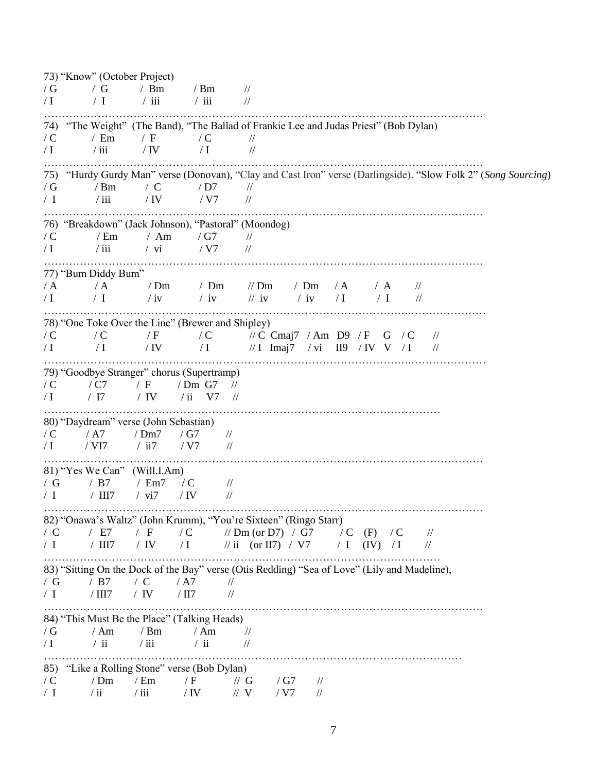73) "Know" (October Project)  $/G$  / G / Bm / Bm //  $\sqrt{I}$  / I / iii / iii // …………………………………………………………………………………………………………… 74) "The Weight" (The Band), "The Ballad of Frankie Lee and Judas Priest" (Bob Dylan)  $\begin{array}{ccccc} /{\bf C} & /{\bf Em} & /{\bf F} & /{\bf C} & /{\bf H} \ & /{\bf I} & /{\bf iii} & /{\bf IV} & /{\bf I} & /{\bf H} \end{array}$  $\sqrt{I}$  / iii / IV / I // …………………………………………………………………………………………………………… 75) "Hurdy Gurdy Man" verse (Donovan), "Clay and Cast Iron" verse (Darlingside). "Slow Folk 2" (*Song Sourcing*) / G / Bm / C / D7 //<br>/ I / iii / IV / V7 // / I / iii / IV / V7 // …………………………………………………………………………………………………………… 76) "Breakdown" (Jack Johnson), "Pastoral" (Moondog)  $/C$  / Em / Am / G7 //  $/ I$  / iii / vi / V7 // …………………………………………………………………………………………………………… 77) "Bum Diddy Bum" / A / A / Dm / Dm // Dm / Dm / A / A //  $\sqrt{I}$  / I / iv / iv / iv / iv / I / I // ………………………………………………………………………………………….………………… 78) "One Toke Over the Line" (Brewer and Shipley) / C / C / F / C // C Cmaj7 / Am D9 / F G / C //  $/$  I  $/$  I  $/$  IV  $/$  I  $/$  I  $/$  I  $\mu$   $/$  I  $/$   $\mu$   $/$  I  $/$   $/$   $\mu$   $/$   $\mu$ ………………………………………………………………………………………….………………… 79) "Goodbye Stranger" chorus (Supertramp) / C / C7 / F / Dm G7 //  $\sqrt{I}$  /  $\sqrt{I}$  / IV / ii V7 // ………………………………………………………………………………………………… 80) "Daydream" verse (John Sebastian) / C / A7 / Dm7 / G7 //  $/ I$  / VI7 / ii7 / V7 // …………………………………………………………………………………………………………… 81) "Yes We Can" (Will.I.Am) / G / B7 / Em7 / C //  $/ I$  / III7 / vi7 / IV // …………………………………………………………………………………………………………… 82) "Onawa's Waltz" (John Krumm), "You're Sixteen" (Ringo Starr)  $\sqrt{C}$  / E7 / F / C // Dm (or D7) / G7 / C (F) / C //  $/ I$  / III7 / IV / I // ii (or II7) / V7 / I (IV) / I // ………………………………………………………………………………………………… 83) "Sitting On the Dock of the Bay" verse (Otis Redding) "Sea of Love" (Lily and Madeline), / G / B7 / C / A7 //  $/ I$  / III7 / IV / II7 // …………………………………………………………………………………………………………… 84) "This Must Be the Place" (Talking Heads)  $\frac{1}{\sqrt{G}}$  / Am / Bm / Am //<br> $\frac{1}{\sqrt{H}}$  / ii / ii // ii //  $\sqrt{I}$  / ii / ii / ii // ……………………………………………………………………………………………………… 85) "Like a Rolling Stone" verse (Bob Dylan)  $\sqrt{C}$  / Dm / Em / F // G / G7 // / I / ii / iii / IV // V / V7 //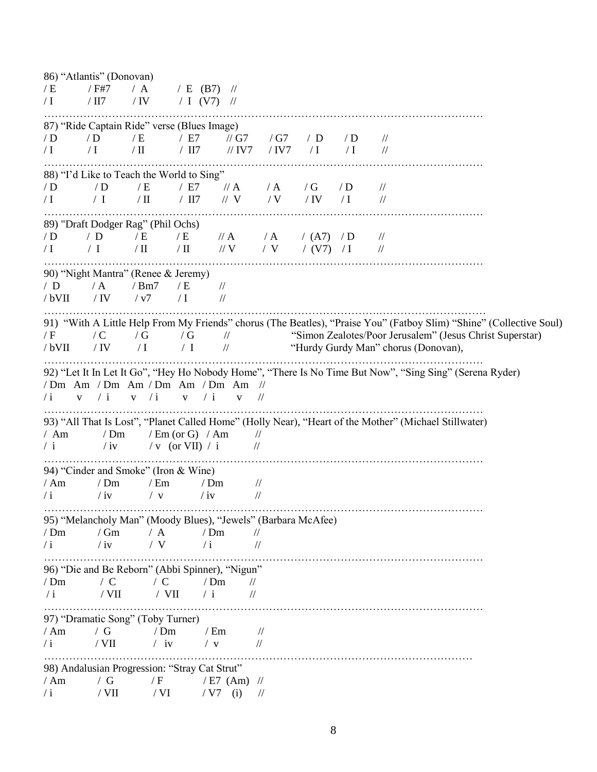|            | 86) "Atlantis" (Donovan) |                                                               |                                    |                   |                                |            |            |            |                                                                                                                     |  |
|------------|--------------------------|---------------------------------------------------------------|------------------------------------|-------------------|--------------------------------|------------|------------|------------|---------------------------------------------------------------------------------------------------------------------|--|
| /E         | / F#7                    | / A                                                           | / E (B7) $\frac{1}{2}$             |                   |                                |            |            |            |                                                                                                                     |  |
| $\sqrt{1}$ | / $\rm III7$             | / $\operatorname{IV}$                                         | / I (V7) $\frac{1}{2}$             |                   |                                |            |            |            |                                                                                                                     |  |
|            |                          | 87) "Ride Captain Ride" verse (Blues Image)                   |                                    |                   |                                |            |            |            |                                                                                                                     |  |
| /D         | /D                       | / E                                                           | / E7                               | // $G7$           |                                | / $G7$     | / D        | /D         | $\frac{1}{2}$                                                                                                       |  |
| $\sqrt{I}$ | $\sqrt{I}$               | / $\text{II}$                                                 | $/$ II7                            | $\frac{1}{1}$ IV7 |                                | $/$ IV7    | $\sqrt{1}$ | $\sqrt{I}$ | $\frac{1}{2}$                                                                                                       |  |
|            |                          |                                                               |                                    |                   |                                |            |            |            |                                                                                                                     |  |
|            |                          | 88) "I'd Like to Teach the World to Sing"                     |                                    |                   |                                |            |            |            |                                                                                                                     |  |
| /D         | /D                       | / E                                                           | / E7                               | $\frac{1}{A}$     |                                | $\angle A$ | /G         | /D         | $\frac{1}{2}$                                                                                                       |  |
| $\sqrt{1}$ | / I                      | $/$ II                                                        | $/$ II7                            | $\frac{1}{x}$ V   |                                | / V        | / IV       | $\sqrt{I}$ | $\frac{1}{2}$                                                                                                       |  |
|            |                          | 89) "Draft Dodger Rag" (Phil Ochs)                            |                                    |                   |                                |            |            |            |                                                                                                                     |  |
|            | /D                       | / $E$                                                         |                                    | $\#A$             |                                | $\angle A$ |            |            |                                                                                                                     |  |
| /D         | / I                      | $/ \Pi$                                                       | / E<br>$/ \, \mathrm{II}$          | $\sqrt{V}$        |                                | / V        | ( A7)      | /D         | $\frac{1}{2}$                                                                                                       |  |
| $\sqrt{1}$ |                          |                                                               |                                    |                   |                                |            | / (V7) / I |            | $\frac{1}{2}$                                                                                                       |  |
|            |                          | 90) "Night Mantra" (Renee & Jeremy)                           |                                    |                   |                                |            |            |            |                                                                                                                     |  |
| / D        | / A                      | /Bm7                                                          | / E                                | $\frac{1}{2}$     |                                |            |            |            |                                                                                                                     |  |
| /bVII      | / IV                     | / v7                                                          | $\sqrt{I}$                         | $/\!/$            |                                |            |            |            |                                                                                                                     |  |
|            |                          |                                                               |                                    |                   |                                |            |            |            |                                                                                                                     |  |
|            |                          |                                                               |                                    |                   |                                |            |            |            | 91) "With A Little Help From My Friends" chorus (The Beatles), "Praise You" (Fatboy Slim) "Shine" (Collective Soul) |  |
| / F        | $\angle C$               | /G                                                            | /G                                 | $\frac{1}{2}$     |                                |            |            |            | "Simon Zealotes/Poor Jerusalem" (Jesus Christ Superstar)                                                            |  |
| /bVII      | / $IV$                   | $\sqrt{I}$                                                    | / I                                | $/\!/$            |                                |            |            |            | "Hurdy Gurdy Man" chorus (Donovan),                                                                                 |  |
|            |                          |                                                               |                                    |                   |                                |            |            |            |                                                                                                                     |  |
|            |                          |                                                               |                                    |                   |                                |            |            |            | 92) "Let It In Let It Go", "Hey Ho Nobody Home", "There Is No Time But Now", "Sing Sing" (Serena Ryder)             |  |
|            |                          | /Dm Am /Dm Am /Dm Am /Dm Am                                   |                                    |                   | $\frac{1}{2}$                  |            |            |            |                                                                                                                     |  |
| $\sqrt{i}$ | / i<br>$\mathbf{V}$      | v / i                                                         | / i<br>$\mathbf{V}$                | $\mathbf{V}$      | $\frac{1}{2}$                  |            |            |            |                                                                                                                     |  |
|            |                          |                                                               |                                    |                   |                                |            |            |            | 93) "All That Is Lost", "Planet Called Home" (Holly Near), "Heart of the Mother" (Michael Stillwater)               |  |
| / Am       | /Dm                      |                                                               | $/ \text{Em}$ (or G) $/ \text{Am}$ |                   | $\frac{1}{2}$                  |            |            |            |                                                                                                                     |  |
| / i        | $/$ iv                   |                                                               | / v (or VII) / i                   |                   | $\frac{1}{2}$                  |            |            |            |                                                                                                                     |  |
|            |                          |                                                               |                                    |                   |                                |            |            |            |                                                                                                                     |  |
|            |                          | 94) "Cinder and Smoke" (Iron & Wine)                          |                                    |                   |                                |            |            |            |                                                                                                                     |  |
| /Am        | /Dm                      | $/$ Em                                                        |                                    | /Dm               | $\frac{1}{2}$                  |            |            |            |                                                                                                                     |  |
| $\sqrt{i}$ | $/$ iv                   | $/$ V                                                         | $/$ iv                             |                   | $\frac{1}{2}$                  |            |            |            |                                                                                                                     |  |
|            |                          |                                                               |                                    |                   |                                |            |            |            |                                                                                                                     |  |
|            |                          | 95) "Melancholy Man" (Moody Blues), "Jewels" (Barbara McAfee) |                                    |                   |                                |            |            |            |                                                                                                                     |  |
| /Dm        | /Gm                      | / A                                                           |                                    | /Dm               | $\frac{1}{2}$                  |            |            |            |                                                                                                                     |  |
| $\sqrt{i}$ | $/$ iv                   | / V                                                           | $\sqrt{i}$                         |                   | $\frac{1}{2}$                  |            |            |            |                                                                                                                     |  |
|            |                          |                                                               |                                    |                   |                                |            |            |            |                                                                                                                     |  |
|            |                          | 96) "Die and Be Reborn" (Abbi Spinner), "Nigun"               |                                    |                   |                                |            |            |            |                                                                                                                     |  |
| /Dm        | $\sqrt{C}$               | $\angle$ C                                                    |                                    | /Dm               | $\frac{1}{2}$                  |            |            |            |                                                                                                                     |  |
| $\sqrt{i}$ | $/$ VII                  | $/$ VII                                                       | $\sqrt{i}$                         |                   | $\sqrt{}$                      |            |            |            |                                                                                                                     |  |
|            |                          | 97) "Dramatic Song" (Toby Turner)                             |                                    |                   |                                |            |            |            |                                                                                                                     |  |
|            | / $G$                    | /Dm                                                           |                                    |                   |                                |            |            |            |                                                                                                                     |  |
| /Am        | / $\rm{VII}$             | $/$ iv                                                        |                                    | / Em              | $\frac{1}{2}$<br>$\frac{1}{2}$ |            |            |            |                                                                                                                     |  |
| $\sqrt{i}$ |                          |                                                               |                                    | $/$ V             |                                |            |            |            |                                                                                                                     |  |
|            |                          | 98) Andalusian Progression: "Stray Cat Strut"                 |                                    |                   |                                |            |            |            |                                                                                                                     |  |
| /Am        | / G                      | / F                                                           |                                    | $/ E7$ (Am) $//$  |                                |            |            |            |                                                                                                                     |  |
| $\sqrt{i}$ | $/$ VII                  | / VI                                                          |                                    | / V7<br>(i)       | $\frac{1}{2}$                  |            |            |            |                                                                                                                     |  |
|            |                          |                                                               |                                    |                   |                                |            |            |            |                                                                                                                     |  |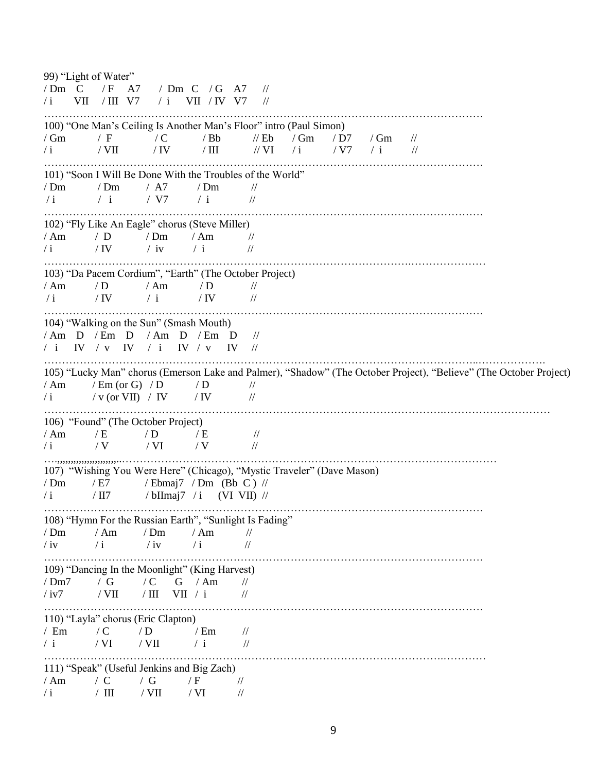99) "Light of Water" / Dm C / F A7 / Dm C / G A7 //  $\left/ \text{i} \right.$  VII  $\left/ \text{III} \right.$  V7  $\left/ \text{i} \right.$  VII  $\left/ \text{IV} \right.$  V7  $\left/ \right/ \left. \right.$ …………………………………………………………………………………………………………… 100) "One Man's Ceiling Is Another Man's Floor" intro (Paul Simon)  $\sqrt{Gm}$  / F / C / Bb // Eb / Gm / D7 / Gm //  $\sqrt{i}$  / VII / IV / III // VI / i // V7 / i // …………………………………………………………………………………………………………… 101) "Soon I Will Be Done With the Troubles of the World"  $/Dm$  / Dm / A7 / Dm //  $/ i$  / i / V7 / i // …………………………………………………………………………………………………………… 102) "Fly Like An Eagle" chorus (Steve Miller)  $/\text{Am}$  / D  $/\text{Dm}$  / Am //  $\sqrt{i}$  / IV / iv / i // ………………………………………………………………………………………….………………… 103) "Da Pacem Cordium", "Earth" (The October Project)  $/\text{Am}$  / D  $/\text{Am}$  / D //  $\sqrt{i}$  / IV / i / IV // …………………………………………………………………………………………………………… 104) "Walking on the Sun" (Smash Mouth) / Am D / Em D / Am D / Em D // / i IV / v IV / i IV / v IV // …………………………………………………………………………………………………………..………………. 105) "Lucky Man" chorus (Emerson Lake and Palmer), "Shadow" (The October Project), "Believe" (The October Project)  $/\text{Am}$  / Em (or G) / D / D // / i / v (or VII) / IV / IV // ………………………………………………………………………………………………….………………………… 106) "Found" (The October Project)  $/ Am$  / E / D / E //  $\sqrt{i}$  / V / VI / V // ….,,,,,,,,,,,,,,,,,,,,,,..…………………………………………………………………………………………… 107) "Wishing You Were Here" (Chicago), "Mystic Traveler" (Dave Mason)  $/Dm$  / E7 / Ebmaj7 / Dm (Bb C) //  $/ i$  / II7 / bIImaj7 / i (VI VII) // …………………………………………………………………………………………………………… 108) "Hymn For the Russian Earth", "Sunlight Is Fading"  $/Dm$  / Am / Dm / Am //  $\sqrt{i}$  / i /iv / i // …………………………………………………………………………………………………………… 109) "Dancing In the Moonlight" (King Harvest) / Dm7 / G / C G / Am //  $/iv7$  / VII / III / VII / i // …………………………………………………………………………………………………………… 110) "Layla" chorus (Eric Clapton) / Em / C / D / Em // / i / VI / VII / i // ………………………………………………………………………………………………….………… 111) "Speak" (Useful Jenkins and Big Zach) / Am / C / G / F //  $\frac{1}{i}$  / III / VII / VI //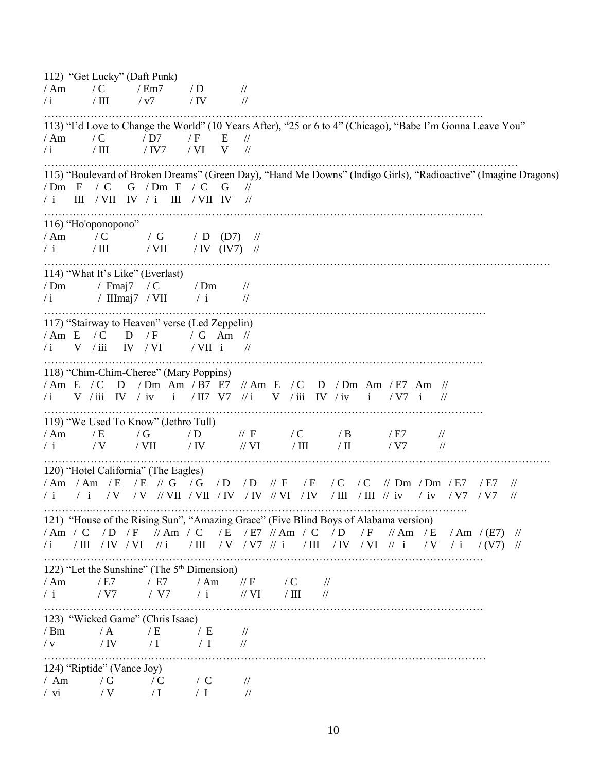112) "Get Lucky" (Daft Punk)  $/\text{Am}$  / C  $/\text{Em7}$  / D //  $\frac{1}{\mathrm{i}}$  / III / v7 / IV // …………………………………………………………………………………………………………… 113) "I'd Love to Change the World" (10 Years After), "25 or 6 to 4" (Chicago), "Babe I'm Gonna Leave You"  $/ Am$   $/ C$   $/ D7$   $/ F$  E  $/$  $\frac{1}{1}$  / III / IV7 / VI V // ………………………….………………………………………………………………………………………… 115) "Boulevard of Broken Dreams" (Green Day), "Hand Me Downs" (Indigo Girls), "Radioactive" (Imagine Dragons) / Dm F / C G / Dm F / C G // / i III / VII IV / i III / VII IV // …………………………………………………………………………………………………………… 116) "Ho'oponopono" / Am / C / G / D (D7) //  $/$  i  $/$  III  $/$  VII  $/$  IV (IV7)  $//$ ………………………………………………………………………………………………….………………………… 114) "What It's Like" (Everlast)  $/Dm$  / Fmaj7 / C / Dm //  $\frac{1}{i}$  / IIImaj7 / VII / i // ………………………………………………………………………………………….………………… 117) "Stairway to Heaven" verse (Led Zeppelin) / Am E / C D / F / G Am //  $\sqrt{i}$  V  $\sqrt{iii}$  IV  $\sqrt{VI}$   $\sqrt{VII}$  i  $\sqrt{VI}$ …………………………………………………………………………………………………………… 118) "Chim-Chim-Cheree" (Mary Poppins) / Am E / C D / Dm Am / B7 E7 // Am E / C D / Dm Am / E7 Am // / i V / iii IV / iv i / II7 V7 // i V / iii IV / iv i / V7 i // …………………………………………………………………………………………………………… 119) "We Used To Know" (Jethro Tull) / Am / E / G / D // F / C / B / E7 // / i / V / VII / IV // VI / III / II // V7 // ………………………………………………………………………………………………….………………………… 120) "Hotel California" (The Eagles) / Am / Am / E / E // G / G / D / D // F / F / C / C // Dm / Dm / E7 / E7 // / i / i / V / V // VII / VII / IV / IV // VI / IV / III / III // iv / iv / V7 / V7 // …………..…………………………………………………………………………………………… 121) "House of the Rising Sun", "Amazing Grace" (Five Blind Boys of Alabama version) / Am / C / D / F // Am / C / E / E7 // Am / C / D / F // Am / E / Am / (E7) //<br>/i / III / IV / VI //i / III / V / V7 //i / III / IV / VI //i / V / i / (V7) // / III / V / V7 // i / III / IV / VI // i / V / i / (V7) // …………………………………………………………………………………………………………… 122) "Let the Sunshine" (The  $5<sup>th</sup>$  Dimension) / Am / E7 / E7 / Am // F / C //  $/ i$  / V7 / V7 / i // VI / III // …………………………………………………………………………………………………………… 123) "Wicked Game" (Chris Isaac)  $/Bm$  / A / E / E //  $/\,\mathrm{v}$  / IV / I / I // ………………………………………………………………………………………………….………… 124) "Riptide" (Vance Joy) / Am / G / C / C // / vi  $/ V$  / I / I //